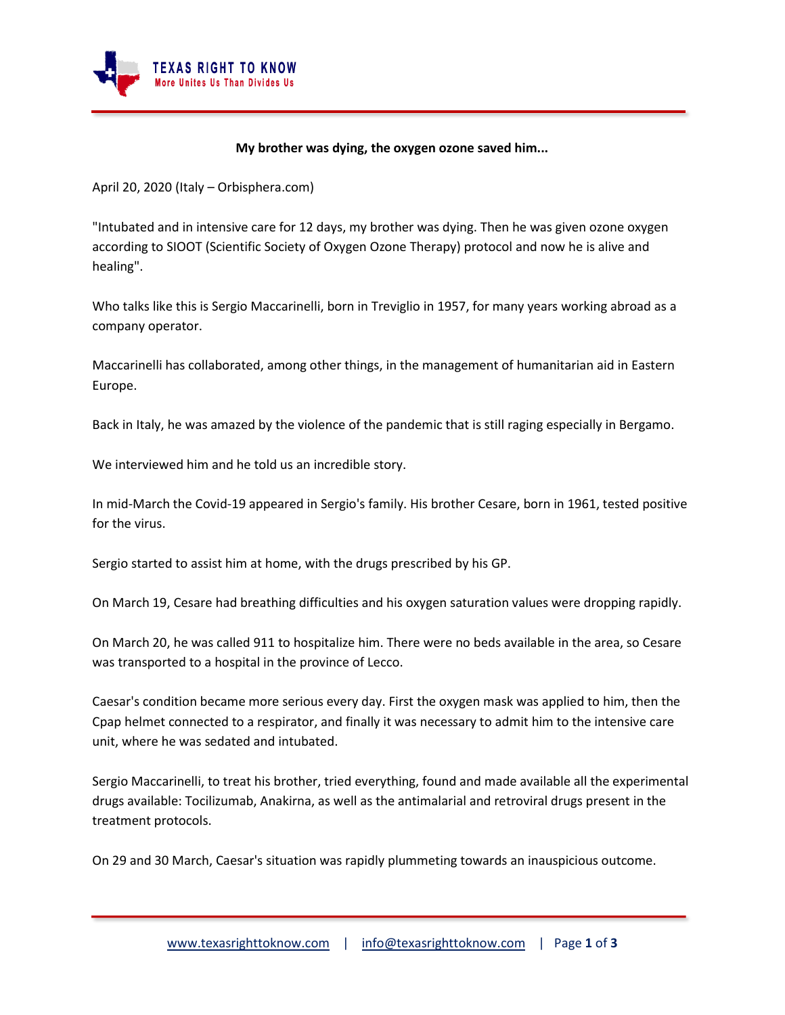

## **My brother was dying, the oxygen ozone saved him...**

April 20, 2020 (Italy – Orbisphera.com)

"Intubated and in intensive care for 12 days, my brother was dying. Then he was given ozone oxygen according to SIOOT (Scientific Society of Oxygen Ozone Therapy) protocol and now he is alive and healing".

Who talks like this is Sergio Maccarinelli, born in Treviglio in 1957, for many years working abroad as a company operator.

Maccarinelli has collaborated, among other things, in the management of humanitarian aid in Eastern Europe.

Back in Italy, he was amazed by the violence of the pandemic that is still raging especially in Bergamo.

We interviewed him and he told us an incredible story.

In mid-March the Covid-19 appeared in Sergio's family. His brother Cesare, born in 1961, tested positive for the virus.

Sergio started to assist him at home, with the drugs prescribed by his GP.

On March 19, Cesare had breathing difficulties and his oxygen saturation values were dropping rapidly.

On March 20, he was called 911 to hospitalize him. There were no beds available in the area, so Cesare was transported to a hospital in the province of Lecco.

Caesar's condition became more serious every day. First the oxygen mask was applied to him, then the Cpap helmet connected to a respirator, and finally it was necessary to admit him to the intensive care unit, where he was sedated and intubated.

Sergio Maccarinelli, to treat his brother, tried everything, found and made available all the experimental drugs available: Tocilizumab, Anakirna, as well as the antimalarial and retroviral drugs present in the treatment protocols.

On 29 and 30 March, Caesar's situation was rapidly plummeting towards an inauspicious outcome.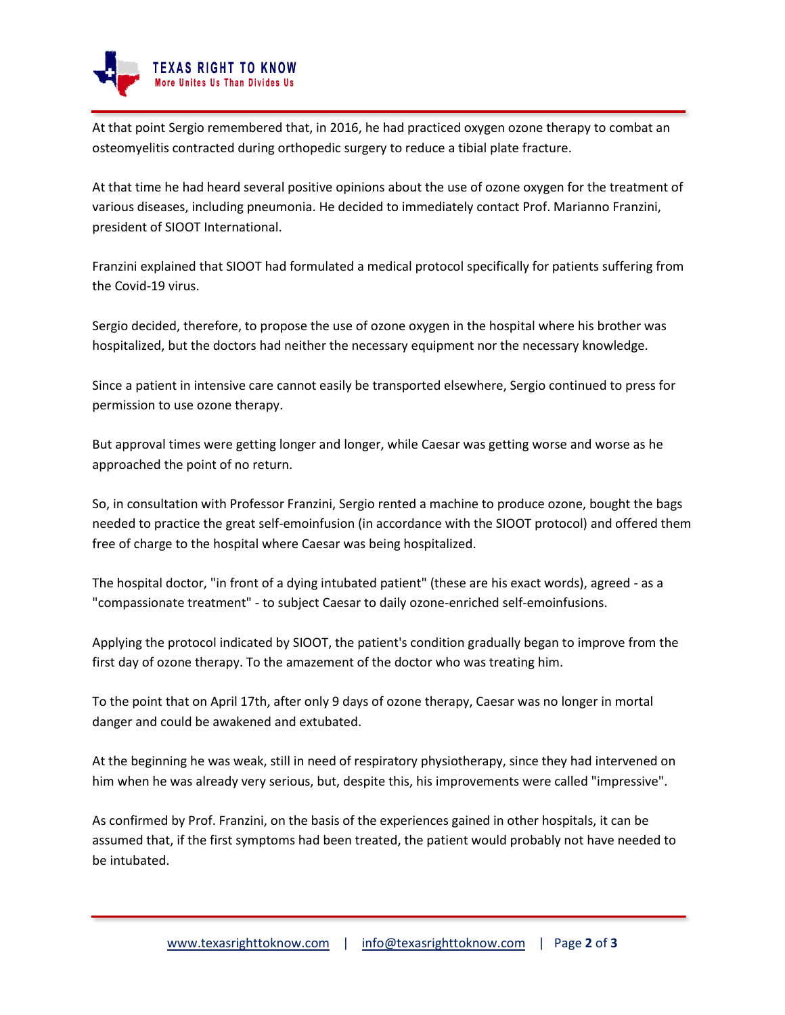

At that point Sergio remembered that, in 2016, he had practiced oxygen ozone therapy to combat an osteomyelitis contracted during orthopedic surgery to reduce a tibial plate fracture.

At that time he had heard several positive opinions about the use of ozone oxygen for the treatment of various diseases, including pneumonia. He decided to immediately contact Prof. Marianno Franzini, president of SIOOT International.

Franzini explained that SIOOT had formulated a medical protocol specifically for patients suffering from the Covid-19 virus.

Sergio decided, therefore, to propose the use of ozone oxygen in the hospital where his brother was hospitalized, but the doctors had neither the necessary equipment nor the necessary knowledge.

Since a patient in intensive care cannot easily be transported elsewhere, Sergio continued to press for permission to use ozone therapy.

But approval times were getting longer and longer, while Caesar was getting worse and worse as he approached the point of no return.

So, in consultation with Professor Franzini, Sergio rented a machine to produce ozone, bought the bags needed to practice the great self-emoinfusion (in accordance with the SIOOT protocol) and offered them free of charge to the hospital where Caesar was being hospitalized.

The hospital doctor, "in front of a dying intubated patient" (these are his exact words), agreed - as a "compassionate treatment" - to subject Caesar to daily ozone-enriched self-emoinfusions.

Applying the protocol indicated by SIOOT, the patient's condition gradually began to improve from the first day of ozone therapy. To the amazement of the doctor who was treating him.

To the point that on April 17th, after only 9 days of ozone therapy, Caesar was no longer in mortal danger and could be awakened and extubated.

At the beginning he was weak, still in need of respiratory physiotherapy, since they had intervened on him when he was already very serious, but, despite this, his improvements were called "impressive".

As confirmed by Prof. Franzini, on the basis of the experiences gained in other hospitals, it can be assumed that, if the first symptoms had been treated, the patient would probably not have needed to be intubated.